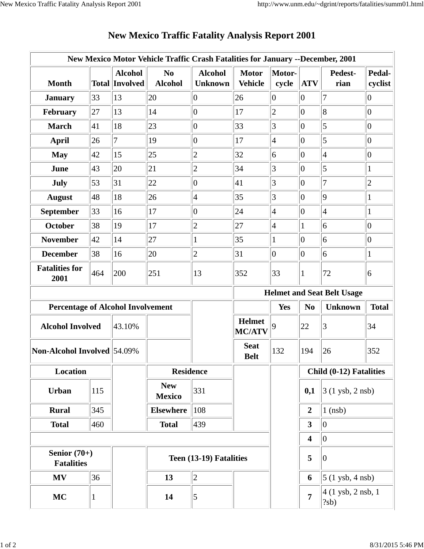|                                          |     |                                         | New Mexico Motor Vehicle Traffic Crash Fatalities for January --December, 2001 |                                  |                                |                 |                         |                                                      |                   |
|------------------------------------------|-----|-----------------------------------------|--------------------------------------------------------------------------------|----------------------------------|--------------------------------|-----------------|-------------------------|------------------------------------------------------|-------------------|
| <b>Month</b>                             |     | <b>Alcohol</b><br><b>Total Involved</b> | N <sub>0</sub><br><b>Alcohol</b>                                               | <b>Alcohol</b><br><b>Unknown</b> | <b>Motor</b><br><b>Vehicle</b> | Motor-<br>cycle | <b>ATV</b>              | Pedest-<br>rian                                      | Pedal-<br>cyclist |
| <b>January</b>                           | 33  | 13                                      | 20                                                                             | $\overline{0}$                   | 26                             | 0               | $\overline{0}$          | $\overline{7}$                                       | 0                 |
| February                                 | 27  | 13                                      | 14                                                                             | $ 0\rangle$                      | 17                             | $\overline{c}$  | $\overline{0}$          | $\overline{8}$                                       | $ 0\rangle$       |
| <b>March</b>                             | 41  | 18                                      | 23                                                                             | $ 0\rangle$                      | 33                             | $\vert 3 \vert$ | $\overline{0}$          | $\overline{5}$                                       | $ 0\rangle$       |
| <b>April</b>                             | 26  | $\overline{7}$                          | 19                                                                             | $ 0\rangle$                      | 17                             | 4               | $\overline{0}$          | $\overline{5}$                                       | $ 0\rangle$       |
| <b>May</b>                               | 42  | 15                                      | 25                                                                             | $\overline{2}$                   | 32                             | 6               | $ 0\rangle$             | $\vert 4$                                            | $ 0\rangle$       |
| June                                     | 43  | 20                                      | 21                                                                             | $\overline{c}$                   | 34                             | 3               | $\overline{0}$          | $\overline{5}$                                       | 1                 |
| <b>July</b>                              | 53  | 31                                      | 22                                                                             | $\overline{0}$                   | 41                             | 3               | $\vert 0 \vert$         | $\overline{7}$                                       | $\overline{c}$    |
| <b>August</b>                            | 48  | 18                                      | 26                                                                             | $\vert 4$                        | 35                             | 3               | $\overline{0}$          | $\vert 9$                                            | 1                 |
| <b>September</b>                         | 33  | 16                                      | 17                                                                             | $ 0\rangle$                      | 24                             | 4               | $\vert 0 \vert$         | $\vert 4$                                            | 1                 |
| <b>October</b>                           | 38  | 19                                      | 17                                                                             | $\overline{2}$                   | 27                             | 4               | 1                       | 6                                                    | $ 0\rangle$       |
| <b>November</b>                          | 42  | 14                                      | 27                                                                             | 1                                | 35                             | $\mathbf 1$     | $\overline{0}$          | 6                                                    | $ 0\rangle$       |
| <b>December</b>                          | 38  | 16                                      | 20                                                                             | $\overline{2}$                   | 31                             | $ 0\rangle$     | $ 0\rangle$             | 6                                                    | 1                 |
| <b>Fatalities for</b><br>2001            | 464 | 200                                     | 251                                                                            | 13                               | 352                            | 33              | 1                       | 72                                                   | 6                 |
|                                          |     |                                         |                                                                                |                                  |                                |                 |                         | <b>Helmet and Seat Belt Usage</b>                    |                   |
| <b>Percentage of Alcohol Involvement</b> |     |                                         |                                                                                |                                  |                                | Yes             | N <sub>0</sub>          | <b>Unknown</b>                                       | <b>Total</b>      |
| <b>Alcohol Involved</b>                  |     | 43.10%                                  |                                                                                |                                  | <b>Helmet</b><br><b>MC/ATV</b> | 9               | 22                      | 3                                                    | 34                |
| Non-Alcohol Involved 54.09%              |     |                                         |                                                                                |                                  | <b>Seat</b><br><b>Belt</b>     | 132             | 194                     | 26                                                   | 352               |
| <b>Location</b>                          |     |                                         | <b>Residence</b>                                                               |                                  |                                |                 | Child (0-12) Fatalities |                                                      |                   |
| <b>Urban</b>                             | 115 |                                         | <b>New</b><br><b>Mexico</b>                                                    | 331                              |                                |                 | 0,1                     | $3(1 \text{ ysb}, 2 \text{ nsb})$                    |                   |
| <b>Rural</b>                             | 345 |                                         | <b>Elsewhere</b>                                                               | 108                              |                                |                 | $\boldsymbol{2}$        | $1$ (nsb)                                            |                   |
| <b>Total</b>                             | 460 |                                         | <b>Total</b>                                                                   | 439                              |                                |                 | $\overline{\mathbf{3}}$ | $ 0\rangle$                                          |                   |
|                                          |     |                                         |                                                                                |                                  |                                |                 | 4                       | $ 0\rangle$                                          |                   |
| Senior $(70+)$<br><b>Fatalities</b>      |     |                                         | Teen (13-19) Fatalities                                                        |                                  |                                | 5               | $ 0\rangle$             |                                                      |                   |
| <b>MV</b>                                | 36  |                                         | 13                                                                             | $ 2\rangle$                      |                                |                 | 6                       | $\vert 5 \vert (1 \text{ ysb}, 4 \text{ nsb}) \vert$ |                   |
| <b>MC</b>                                |     |                                         | 14                                                                             | $\overline{5}$                   |                                |                 | 7                       | 4 (1 ysb, 2 nsb, 1<br>$ ?sb\rangle$                  |                   |

## **New Mexico Traffic Fatality Analysis Report 2001**